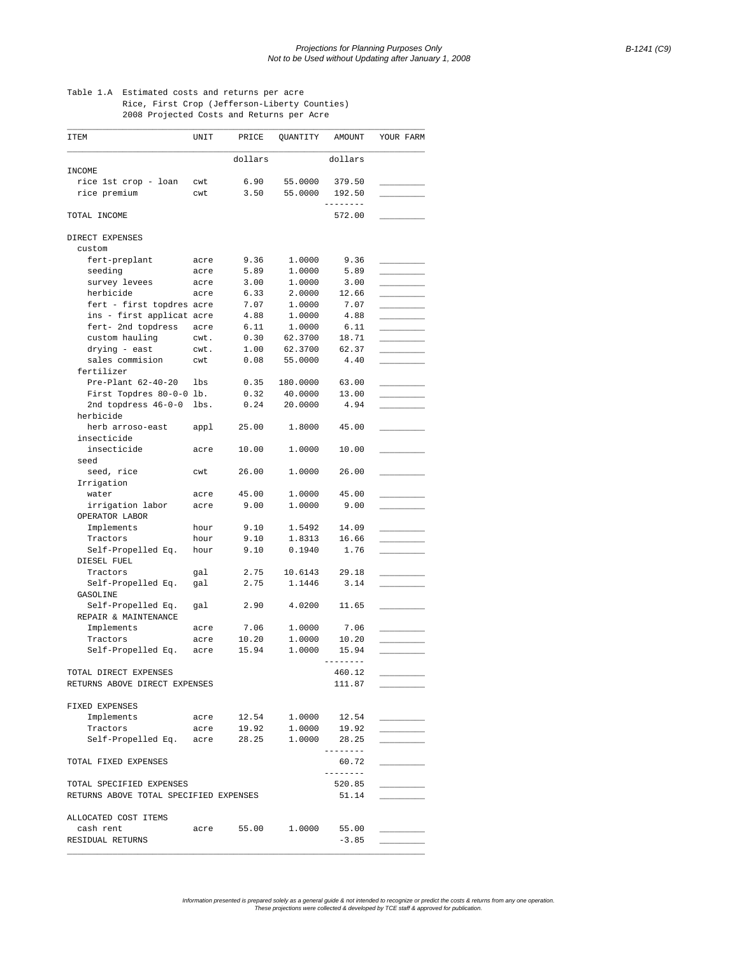## Table 1.A Estimated costs and returns per acre Rice, First Crop (Jefferson-Liberty Counties) 2008 Projected Costs and Returns per Acre

| ITEM                                   | UNIT | PRICE                   | QUANTITY                                             | AMOUNT             | YOUR FARM |
|----------------------------------------|------|-------------------------|------------------------------------------------------|--------------------|-----------|
|                                        |      | dollars                 |                                                      | dollars            |           |
| INCOME                                 |      |                         |                                                      |                    |           |
| rice 1st crop - loan                   | cwt  | 6.90                    | 55.0000                                              | 379.50             |           |
| rice premium                           | cwt  | 3.50                    | 55.0000                                              | 192.50<br>-------- |           |
| TOTAL INCOME                           |      |                         |                                                      | 572.00             |           |
| DIRECT EXPENSES                        |      |                         |                                                      |                    |           |
| custom                                 |      |                         |                                                      |                    |           |
| fert-preplant                          | acre | 9.36                    | 1.0000                                               | 9.36               |           |
| seeding                                | acre | 5.89                    | 1.0000                                               | 5.89               |           |
| survey levees                          | acre | 3.00                    | 1.0000                                               | 3.00               |           |
| herbicide                              | acre | 6.33                    | 2.0000                                               | 12.66              |           |
| fert - first topdres acre              |      | 7.07                    | 1.0000                                               | 7.07               |           |
| ins - first applicat acre              |      | 4.88                    | 1.0000                                               | 4.88               |           |
| fert- 2nd topdress                     | acre | 6.11                    | 1.0000                                               | 6.11               |           |
| custom hauling                         | cwt. | 0.30                    | 62.3700                                              | 18.71              |           |
| drying - east                          | cwt. | 1.00                    | 62.3700                                              | 62.37              |           |
| sales commision                        | cwt  | 0.08                    | 55.0000                                              | 4.40               |           |
| fertilizer                             |      |                         |                                                      |                    |           |
| Pre-Plant 62-40-20                     | lbs  | 0.35                    | 180.0000                                             | 63.00              |           |
| First Topdres 80-0-0 lb.               |      | 0.32                    | 40.0000                                              | 13.00              |           |
| 2nd topdress 46-0-0                    | lbs. | 0.24                    | 20.0000                                              | 4.94               |           |
| herbicide                              |      |                         |                                                      |                    |           |
| herb arroso-east                       | appl | 25.00                   | 1.8000                                               | 45.00              |           |
| insecticide                            |      |                         |                                                      |                    |           |
| insecticide                            | acre | 10.00                   | 1.0000                                               | 10.00              |           |
| seed                                   |      |                         |                                                      |                    |           |
| seed, rice                             | cwt  | 26.00                   | 1.0000                                               | 26.00              |           |
| Irrigation                             |      |                         |                                                      |                    |           |
| water                                  | acre | 45.00                   | 1.0000                                               | 45.00              |           |
| irrigation labor<br>OPERATOR LABOR     | acre | 9.00                    | 1.0000                                               | 9.00               |           |
| Implements                             | hour | 9.10                    | 1.5492                                               | 14.09              |           |
| Tractors                               | hour | 9.10                    | 1.8313                                               | 16.66              |           |
| Self-Propelled Eq.                     | hour | 9.10                    | 0.1940                                               | 1.76               |           |
| DIESEL FUEL                            |      |                         |                                                      |                    |           |
| Tractors                               | gal  | 2.75                    | 10.6143                                              | 29.18              |           |
| Self-Propelled Eq.                     | gal  | 2.75                    | 1.1446                                               | 3.14               |           |
| GASOLINE                               |      |                         |                                                      |                    |           |
| Self-Propelled Eq.                     | qal  | 2.90                    | 4.0200                                               | 11.65              |           |
| REPAIR & MAINTENANCE                   |      |                         |                                                      |                    |           |
| Implements                             | acre | 7.06                    | 1.0000                                               | 7.06               |           |
| Tractors                               | acre | 10.20                   | 1.0000                                               | 10.20              |           |
| Self-Propelled Eq.                     | acre | 15.94                   | 1.0000                                               | 15.94              |           |
|                                        |      |                         |                                                      | -------            |           |
| TOTAL DIRECT EXPENSES                  |      |                         |                                                      | 460.12             |           |
| RETURNS ABOVE DIRECT EXPENSES          |      |                         |                                                      | 111.87             |           |
| FIXED EXPENSES                         |      |                         |                                                      |                    |           |
| Implements                             | acre |                         |                                                      |                    |           |
| Tractors                               | acre |                         | $12.54$ $1.0000$ $12.54$<br>$19.92$ $1.0000$ $19.92$ |                    |           |
|                                        |      |                         |                                                      | 28.25              |           |
| Self-Propelled Eq. acre 28.25 1.0000   |      |                         |                                                      | ---------          |           |
| TOTAL FIXED EXPENSES                   |      |                         |                                                      | 60.72<br>--------- |           |
| TOTAL SPECIFIED EXPENSES               |      |                         |                                                      | 520.85             |           |
| RETURNS ABOVE TOTAL SPECIFIED EXPENSES |      |                         |                                                      | 51.14              |           |
|                                        |      |                         |                                                      |                    |           |
| ALLOCATED COST ITEMS                   |      |                         |                                                      |                    |           |
| cash rent                              |      | acre 55.00 1.0000 55.00 |                                                      |                    |           |
| RESIDUAL RETURNS                       |      |                         |                                                      | $-3.85$            |           |
|                                        |      |                         |                                                      |                    |           |